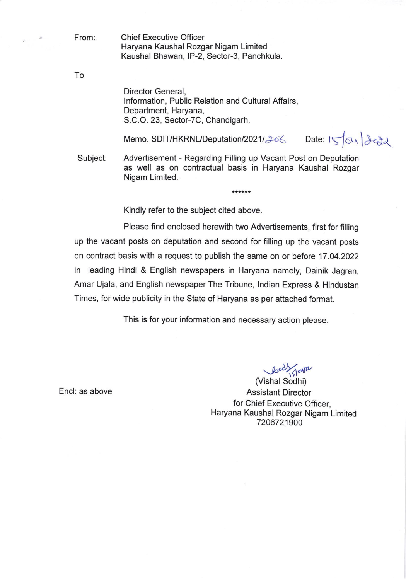From:

Chief Executive Officer Haryana Kaushal Rozgar Nigam Limited Kaushal Bhawan, lP-2, Sector-3, Panchkula.

To

Director General, lnformation, Public Relation and Cultural Affairs, Department, Haryana, S.C.O. 23, Sector-7C, Chandigarh.

Memo. SDIT/HKRNL/Deputation/2021/206 Date: ISOU 100

Subject Advertisement - Regarding Filling up Vacant Post on Deputation as well as on contractual basis in Haryana Kaushal Rozgar Nigam Limited.

\*\*\*\*\*\*

Kindly refer to the subject cited above.

Please find enclosed herewith two Advertisements, first for filling up the vacant posts on deputation and second for filling up the vacant posts on contract basis with a request to publish the same on or before 17.04.2022 in leading Hindi & English newspapers in Haryana namely, Dainik Jagran, Amar Ujala, and English newspaper The Tribune, lndian Express & Hindustan Times, for wide publicity in the State of Haryana as per attached format.

This is for your information and necessary action please.

Encl: as above

 $\downarrow$ 

(Vishal Sodhi) Assistant Director for Chief Executive Officer, Haryana Kaushal Rozgar Nigam Limited 7206721900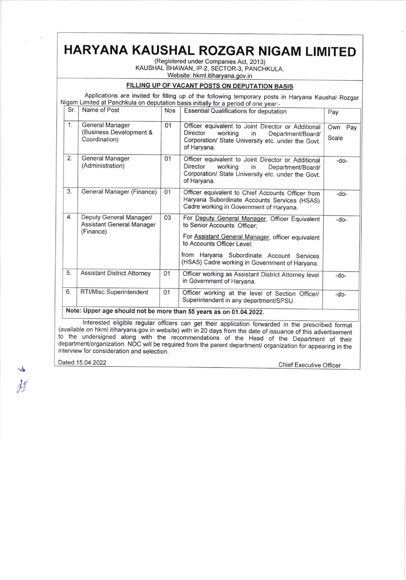## HARYANA KAUSHAL ROZGAR NIGAM LIMITED

(Registered under Companies Act, 2013) KAUSHAL BHAWAN, IP.2, SECTOR-3, PANCHKULA. Website: hkrnl.itiharyana.gov.in

## FILLING UP OF VACANT POSTS ON OEPUTATION BASIS

|     |                                                                          |            | Applications are invited for filling up of the following temporary posts in Haryana Kaushal Rozgar<br>Nigam Limited at Panchkula on deputation basis initially for a period of one year:-                                                                       |                     |
|-----|--------------------------------------------------------------------------|------------|-----------------------------------------------------------------------------------------------------------------------------------------------------------------------------------------------------------------------------------------------------------------|---------------------|
| Sr. | Name of Post                                                             | <b>Nos</b> | <b>Essential Qualifications for deputation</b>                                                                                                                                                                                                                  | Pay                 |
| 1.  | <b>General Manager</b><br>(Business Development &<br>Coordination)       | 01         | Officer equivalent to Joint Director or Additional<br>Director<br>working<br>in<br>Department/Board/<br>Corporation/ State University etc. under the Govt.<br>of Haryana.                                                                                       | Own<br>Pay<br>Scale |
| 2.  | <b>General Manager</b><br>(Administration)                               | 01         | Officer equivalent to Joint Director or Additional<br>Director<br>working<br>in<br>Department/Board/<br>Corporation/ State University etc. under the Govt.<br>of Haryana.                                                                                       | $-do-$              |
| 3.  | General Manager (Finance)                                                | 01         | Officer equivalent to Chief Accounts Officer from<br>Haryana Subordinate Accounts Services (HSAS)<br>Cadre working in Government of Haryana.                                                                                                                    | $-do-$              |
| 4.  | Deputy General Manager/<br><b>Assistant General Manager</b><br>(Finance) | 03         | For Deputy General Manager, Officer Equivalent<br>to Senior Accounts Officer:<br>For Assistant General Manager, officer equivalent<br>to Accounts Officer Level;<br>from Haryana Subordinate Account Services<br>(HSAS) Cadre working in Government of Haryana. | $-do-$              |
| 5.  | <b>Assistant District Attorney</b>                                       | 01         | Officer working as Assistant District Attorney level<br>in Government of Haryana.                                                                                                                                                                               | $-do-$              |
| 6.  | RTI/Misc Superintendent                                                  | 01         | Officer working at the level of Section Officer/<br>Superintendent in any department/SPSU.                                                                                                                                                                      | $-do-$              |
|     | Interested eligible conclusions                                          |            | Note: Upper age should not be more than 55 years as on 01.04.2022.<br>$\cdots$                                                                                                                                                                                  |                     |

Interested eligible regular officers can get their application forwarded in the prescribed format (available on hkml.itiharyana.gov.in website) with in 20 days from the date of issuance of this advertisement to the undersi

Dated:15.04.2022 Chief Executive Officer